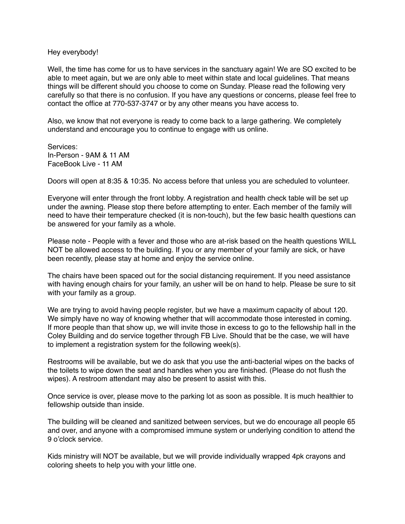Hey everybody!

Well, the time has come for us to have services in the sanctuary again! We are SO excited to be able to meet again, but we are only able to meet within state and local guidelines. That means things will be different should you choose to come on Sunday. Please read the following very carefully so that there is no confusion. If you have any questions or concerns, please feel free to contact the office at 770-537-3747 or by any other means you have access to.

Also, we know that not everyone is ready to come back to a large gathering. We completely understand and encourage you to continue to engage with us online.

Services: In-Person - 9AM & 11 AM FaceBook Live - 11 AM

Doors will open at 8:35 & 10:35. No access before that unless you are scheduled to volunteer.

Everyone will enter through the front lobby. A registration and health check table will be set up under the awning. Please stop there before attempting to enter. Each member of the family will need to have their temperature checked (it is non-touch), but the few basic health questions can be answered for your family as a whole.

Please note - People with a fever and those who are at-risk based on the health questions WILL NOT be allowed access to the building. If you or any member of your family are sick, or have been recently, please stay at home and enjoy the service online.

The chairs have been spaced out for the social distancing requirement. If you need assistance with having enough chairs for your family, an usher will be on hand to help. Please be sure to sit with your family as a group.

We are trying to avoid having people register, but we have a maximum capacity of about 120. We simply have no way of knowing whether that will accommodate those interested in coming. If more people than that show up, we will invite those in excess to go to the fellowship hall in the Coley Building and do service together through FB Live. Should that be the case, we will have to implement a registration system for the following week(s).

Restrooms will be available, but we do ask that you use the anti-bacterial wipes on the backs of the toilets to wipe down the seat and handles when you are finished. (Please do not flush the wipes). A restroom attendant may also be present to assist with this.

Once service is over, please move to the parking lot as soon as possible. It is much healthier to fellowship outside than inside.

The building will be cleaned and sanitized between services, but we do encourage all people 65 and over, and anyone with a compromised immune system or underlying condition to attend the 9 o'clock service.

Kids ministry will NOT be available, but we will provide individually wrapped 4pk crayons and coloring sheets to help you with your little one.